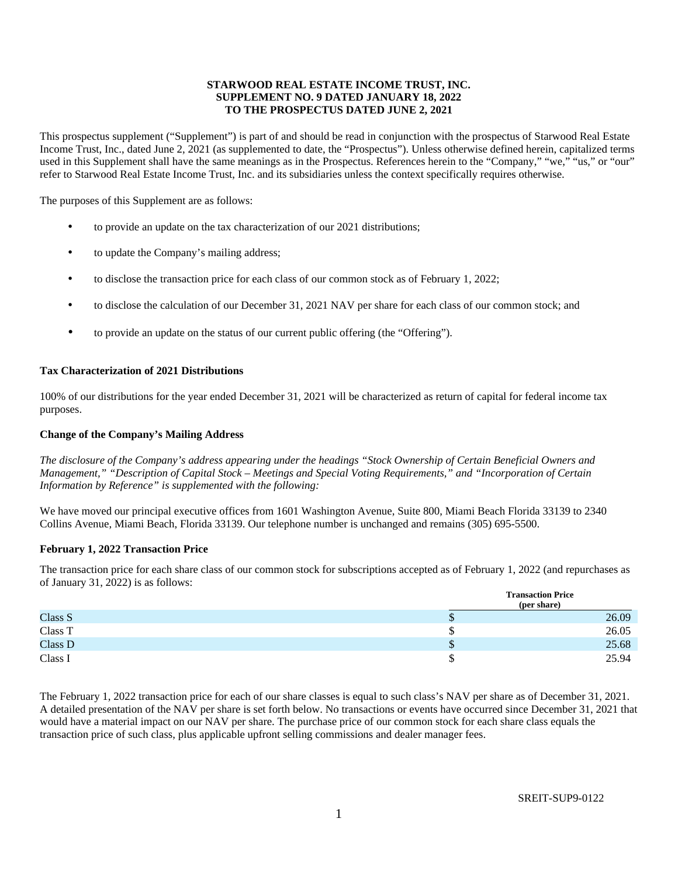# **STARWOOD REAL ESTATE INCOME TRUST, INC. SUPPLEMENT NO. 9 DATED JANUARY 18, 2022 TO THE PROSPECTUS DATED JUNE 2, 2021**

This prospectus supplement ("Supplement") is part of and should be read in conjunction with the prospectus of Starwood Real Estate Income Trust, Inc., dated June 2, 2021 (as supplemented to date, the "Prospectus"). Unless otherwise defined herein, capitalized terms used in this Supplement shall have the same meanings as in the Prospectus. References herein to the "Company," "we," "us," or "our" refer to Starwood Real Estate Income Trust, Inc. and its subsidiaries unless the context specifically requires otherwise.

The purposes of this Supplement are as follows:

- to provide an update on the tax characterization of our 2021 distributions;
- to update the Company's mailing address;
- to disclose the transaction price for each class of our common stock as of February 1, 2022;
- to disclose the calculation of our December 31, 2021 NAV per share for each class of our common stock; and
- to provide an update on the status of our current public offering (the "Offering").

## **Tax Characterization of 2021 Distributions**

100% of our distributions for the year ended December 31, 2021 will be characterized as return of capital for federal income tax purposes.

### **Change of the Company's Mailing Address**

*The disclosure of the Company's address appearing under the headings "Stock Ownership of Certain Beneficial Owners and Management," "Description of Capital Stock – Meetings and Special Voting Requirements," and "Incorporation of Certain Information by Reference" is supplemented with the following:* 

We have moved our principal executive offices from 1601 Washington Avenue, Suite 800, Miami Beach Florida 33139 to 2340 Collins Avenue, Miami Beach, Florida 33139. Our telephone number is unchanged and remains (305) 695-5500.

#### **February 1, 2022 Transaction Price**

The transaction price for each share class of our common stock for subscriptions accepted as of February 1, 2022 (and repurchases as of January 31, 2022) is as follows:

|         |    | <b>Transaction Price</b> |
|---------|----|--------------------------|
|         |    | (per share)              |
| Class S | ۰υ | 26.09                    |
| Class T |    | 26.05                    |
| Class D | ۰υ | 25.68                    |
| Class I |    | 25.94                    |

The February 1, 2022 transaction price for each of our share classes is equal to such class's NAV per share as of December 31, 2021. A detailed presentation of the NAV per share is set forth below. No transactions or events have occurred since December 31, 2021 that would have a material impact on our NAV per share. The purchase price of our common stock for each share class equals the transaction price of such class, plus applicable upfront selling commissions and dealer manager fees.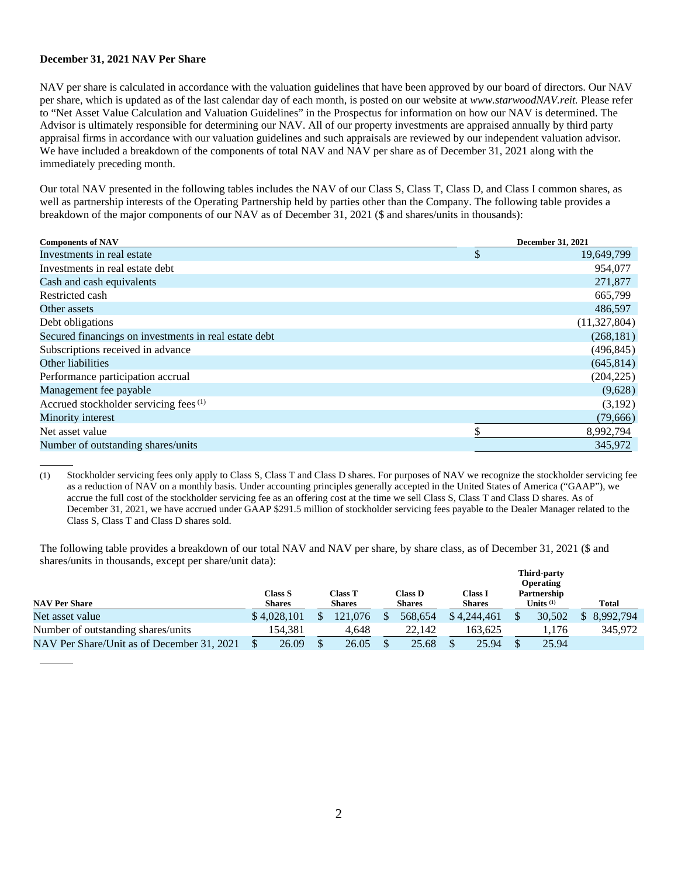## **December 31, 2021 NAV Per Share**

 $\overline{a}$ 

NAV per share is calculated in accordance with the valuation guidelines that have been approved by our board of directors. Our NAV per share, which is updated as of the last calendar day of each month, is posted on our website at *www.starwoodNAV.reit.* Please refer to "Net Asset Value Calculation and Valuation Guidelines" in the Prospectus for information on how our NAV is determined. The Advisor is ultimately responsible for determining our NAV. All of our property investments are appraised annually by third party appraisal firms in accordance with our valuation guidelines and such appraisals are reviewed by our independent valuation advisor. We have included a breakdown of the components of total NAV and NAV per share as of December 31, 2021 along with the immediately preceding month.

Our total NAV presented in the following tables includes the NAV of our Class S, Class T, Class D, and Class I common shares, as well as partnership interests of the Operating Partnership held by parties other than the Company. The following table provides a breakdown of the major components of our NAV as of December 31, 2021 (\$ and shares/units in thousands):

| <b>Components of NAV</b>                              | <b>December 31, 2021</b> |  |  |  |  |  |
|-------------------------------------------------------|--------------------------|--|--|--|--|--|
| Investments in real estate                            | \$<br>19,649,799         |  |  |  |  |  |
| Investments in real estate debt                       | 954,077                  |  |  |  |  |  |
| Cash and cash equivalents                             | 271,877                  |  |  |  |  |  |
| Restricted cash                                       | 665,799                  |  |  |  |  |  |
| Other assets                                          | 486,597                  |  |  |  |  |  |
| Debt obligations                                      | (11,327,804)             |  |  |  |  |  |
| Secured financings on investments in real estate debt | (268, 181)               |  |  |  |  |  |
| Subscriptions received in advance                     | (496, 845)               |  |  |  |  |  |
| Other liabilities                                     | (645, 814)               |  |  |  |  |  |
| Performance participation accrual                     | (204, 225)               |  |  |  |  |  |
| Management fee payable                                | (9,628)                  |  |  |  |  |  |
| Accrued stockholder servicing fees <sup>(1)</sup>     | (3,192)                  |  |  |  |  |  |
| Minority interest                                     | (79, 666)                |  |  |  |  |  |
| Net asset value                                       | \$<br>8,992,794          |  |  |  |  |  |
| Number of outstanding shares/units                    | 345,972                  |  |  |  |  |  |
|                                                       |                          |  |  |  |  |  |

(1) Stockholder servicing fees only apply to Class S, Class T and Class D shares. For purposes of NAV we recognize the stockholder servicing fee as a reduction of NAV on a monthly basis. Under accounting principles generally accepted in the United States of America ("GAAP"), we accrue the full cost of the stockholder servicing fee as an offering cost at the time we sell Class S, Class T and Class D shares. As of December 31, 2021, we have accrued under GAAP \$291.5 million of stockholder servicing fees payable to the Dealer Manager related to the Class S, Class T and Class D shares sold.

The following table provides a breakdown of our total NAV and NAV per share, by share class, as of December 31, 2021 (\$ and shares/units in thousands, except per share/unit data):

|                                            |             |                                                      |  |                                 |  |                          |  |                            |  | <b>Third-party</b><br><b>Operating</b> |  |           |
|--------------------------------------------|-------------|------------------------------------------------------|--|---------------------------------|--|--------------------------|--|----------------------------|--|----------------------------------------|--|-----------|
| <b>NAV Per Share</b>                       |             | Class T<br>Class S<br><b>Shares</b><br><b>Shares</b> |  | Class <b>D</b><br><b>Shares</b> |  | Class I<br><b>Shares</b> |  | Partnership<br>Units $(1)$ |  | <b>Total</b>                           |  |           |
| Net asset value                            | \$4,028,101 |                                                      |  | 121,076                         |  | 568.654                  |  | \$4,244,461                |  | 30,502                                 |  | 8.992.794 |
| Number of outstanding shares/units         |             | 154.381                                              |  | 4.648                           |  | 22,142                   |  | 163.625                    |  | 1,176                                  |  | 345,972   |
| NAV Per Share/Unit as of December 31, 2021 |             | 26.09                                                |  | 26.05                           |  | 25.68                    |  | 25.94                      |  | 25.94                                  |  |           |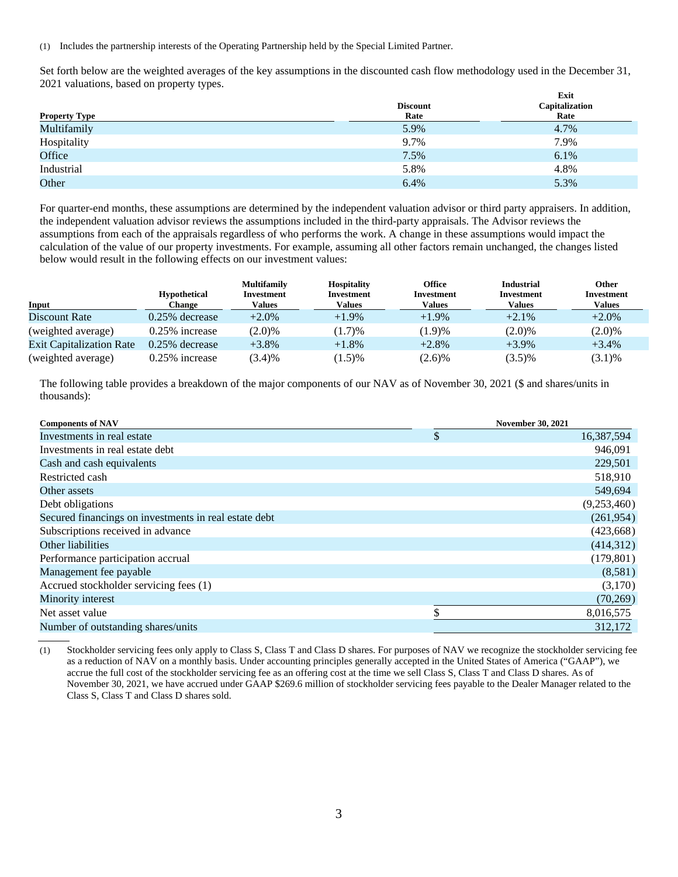(1) Includes the partnership interests of the Operating Partnership held by the Special Limited Partner.

Set forth below are the weighted averages of the key assumptions in the discounted cash flow methodology used in the December 31, 2021 valuations, based on property types.

| <b>Property Type</b> | <b>Discount</b><br>Rate | Exit<br>Capitalization<br>Rate |
|----------------------|-------------------------|--------------------------------|
| Multifamily          | 5.9%                    | 4.7%                           |
| Hospitality          | 9.7%                    | 7.9%                           |
| Office               | 7.5%                    | 6.1%                           |
| Industrial           | 5.8%                    | 4.8%                           |
| Other                | 6.4%                    | 5.3%                           |

For quarter-end months, these assumptions are determined by the independent valuation advisor or third party appraisers. In addition, the independent valuation advisor reviews the assumptions included in the third-party appraisals. The Advisor reviews the assumptions from each of the appraisals regardless of who performs the work. A change in these assumptions would impact the calculation of the value of our property investments. For example, assuming all other factors remain unchanged, the changes listed below would result in the following effects on our investment values:

|                                 | <b>Hypothetical</b> | <b>Multifamily</b><br>Investment | <b>Hospitality</b><br>Investment | <b>Office</b><br>Investment | <b>Industrial</b><br>Investment | <b>Other</b><br>Investment |
|---------------------------------|---------------------|----------------------------------|----------------------------------|-----------------------------|---------------------------------|----------------------------|
| Input                           | Change              | Values                           | <b>Values</b>                    | Values                      | Values                          | <b>Values</b>              |
| Discount Rate                   | $0.25\%$ decrease   | $+2.0\%$                         | $+1.9\%$                         | $+1.9%$                     | $+2.1\%$                        | $+2.0\%$                   |
| (weighted average)              | $0.25\%$ increase   | $(2.0)\%$                        | (1.7)%                           | (1.9)%                      | $(2.0)\%$                       | $(2.0)\%$                  |
| <b>Exit Capitalization Rate</b> | $0.25\%$ decrease   | $+3.8\%$                         | $+1.8%$                          | $+2.8%$                     | $+3.9\%$                        | $+3.4%$                    |
| (weighted average)              | $0.25\%$ increase   | $(3.4)\%$                        | $(1.5)$ %                        | (2.6)%                      | $(3.5)\%$                       | $(3.1)\%$                  |

The following table provides a breakdown of the major components of our NAV as of November 30, 2021 (\$ and shares/units in thousands):

| <b>Components of NAV</b>                              | <b>November 30, 2021</b> |
|-------------------------------------------------------|--------------------------|
| Investments in real estate.                           | \$<br>16,387,594         |
| Investments in real estate debt                       | 946,091                  |
| Cash and cash equivalents                             | 229,501                  |
| Restricted cash                                       | 518,910                  |
| Other assets                                          | 549,694                  |
| Debt obligations                                      | (9,253,460)              |
| Secured financings on investments in real estate debt | (261,954)                |
| Subscriptions received in advance                     | (423, 668)               |
| Other liabilities                                     | (414, 312)               |
| Performance participation accrual                     | (179, 801)               |
| Management fee payable                                | (8,581)                  |
| Accrued stockholder servicing fees (1)                | (3,170)                  |
| Minority interest                                     | (70, 269)                |
| Net asset value                                       | 8,016,575                |
| Number of outstanding shares/units                    | 312,172                  |

(1) Stockholder servicing fees only apply to Class S, Class T and Class D shares. For purposes of NAV we recognize the stockholder servicing fee as a reduction of NAV on a monthly basis. Under accounting principles generally accepted in the United States of America ("GAAP"), we accrue the full cost of the stockholder servicing fee as an offering cost at the time we sell Class S, Class T and Class D shares. As of November 30, 2021, we have accrued under GAAP \$269.6 million of stockholder servicing fees payable to the Dealer Manager related to the Class S, Class T and Class D shares sold.